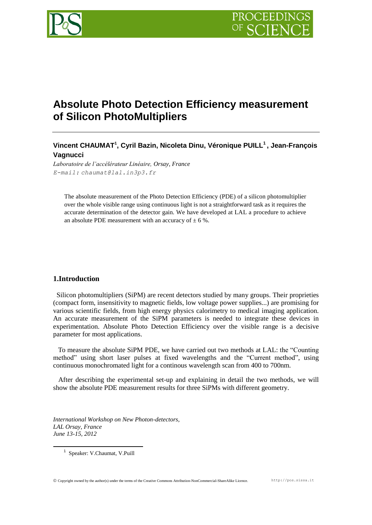

# **Absolute Photo Detection Efficiency measurement of Silicon PhotoMultipliers**

# **Vincent CHAUMAT<sup>1</sup> , Cyril Bazin, Nicoleta Dinu, Véronique PUILL<sup>1</sup> , Jean-François Vagnucci**

*Laboratoire de l'accélérateur Linéaire, Orsay, France E-mail: chaumat@lal.in3p3.fr*

The absolute measurement of the Photo Detection Efficiency (PDE) of a silicon photomultiplier over the whole visible range using continuous light is not a straightforward task as it requires the accurate determination of the detector gain. We have developed at LAL a procedure to achieve an absolute PDE measurement with an accuracy of  $\pm$  6 %.

# **1.Introduction**

 Silicon photomultipliers (SiPM) are recent detectors studied by many groups. Their proprieties (compact form, insensitivity to magnetic fields, low voltage power supplies...) are promising for various scientific fields, from high energy physics calorimetry to medical imaging application. An accurate measurement of the SiPM parameters is needed to integrate these devices in experimentation. Absolute Photo Detection Efficiency over the visible range is a decisive parameter for most applications.

 To measure the absolute SiPM PDE, we have carried out two methods at LAL: the "Counting method" using short laser pulses at fixed wavelengths and the "Current method", using continuous monochromated light for a continous wavelength scan from 400 to 700nm.

 After describing the experimental set-up and explaining in detail the two methods, we will show the absolute PDE measurement results for three SiPMs with different geometry.

*International Workshop on New Photon-detectors, LAL Orsay, France June 13-15, 2012*

1 Speaker: V.Chaumat, V.Puill

1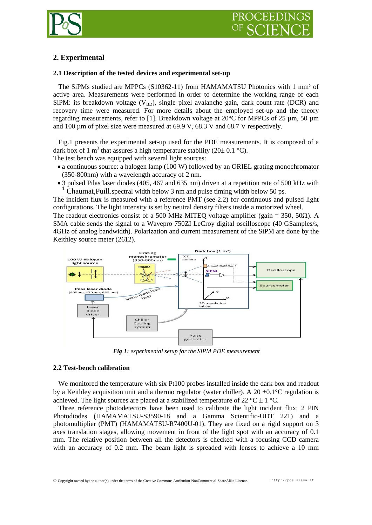

# **2. Experimental**

# **2.1 Description of the tested devices and experimental set-up**

 The SiPMs studied are MPPCs (S10362-11) from HAMAMATSU Photonics with 1 mm² of active area. Measurements were performed in order to determine the working range of each SiPM: its breakdown voltage ( $V_{BD}$ ), single pixel avalanche gain, dark count rate (DCR) and recovery time were measured. For more details about the employed set-up and the theory regarding measurements, refer to [1]. Breakdown voltage at 20°C for MPPCs of 25 µm, 50 µm and 100 µm of pixel size were measured at 69.9 V, 68.3 V and 68.7 V respectively.

 Fig.1 presents the experimental set-up used for the PDE measurements. It is composed of a dark box of 1 m<sup>3</sup> that assures a high temperature stability (20 $\pm$  0.1 °C).

The test bench was equipped with several light sources:

- a continuous source: a halogen lamp (100 W) followed by an ORIEL grating monochromator (350-800nm) with a wavelength accuracy of 2 nm.
- 3 pulsed Pilas laser diodes (405, 467 and 635 nm) driven at a repetition rate of 500 kHz with <sup>1</sup> Chaumat,Puill.spectral width below 3 nm and pulse timing width below 50 ps.

The incident flux is measured with a reference PMT (see 2.2) for continuous and pulsed light configurations. The light intensity is set by neutral density filters inside a motorized wheel.

The readout electronics consist of a 500 MHz MITEQ voltage amplifier (gain = 350, 50 $\Omega$ ). A SMA cable sends the signal to a Wavepro 750ZI LeCroy digital oscilloscope (40 GSamples/s, 4GHz of analog bandwidth). Polarization and current measurement of the SiPM are done by the Keithley source meter (2612).



 *Fig 1: experimental setup for the SiPM PDE measurement*

# **2.2 Test-bench calibration**

 We monitored the temperature with six Pt100 probes installed inside the dark box and readout by a Keithley acquisition unit and a thermo regulator (water chiller). A 20  $\pm$ 0.1°C regulation is achieved. The light sources are placed at a stabilized temperature of 22  $^{\circ}C \pm 1$   $^{\circ}C$ .

 Three reference photodetectors have been used to calibrate the light incident flux: 2 PIN Photodiodes (HAMAMATSU-S3590-18 and a Gamma Scientific-UDT 221) and a photomultiplier (PMT) (HAMAMATSU-R7400U-01). They are fixed on a rigid support on 3 axes translation stages, allowing movement in front of the light spot with an accuracy of 0.1 mm. The relative position between all the detectors is checked with a focusing CCD camera with an accuracy of 0.2 mm. The beam light is spreaded with lenses to achieve a 10 mm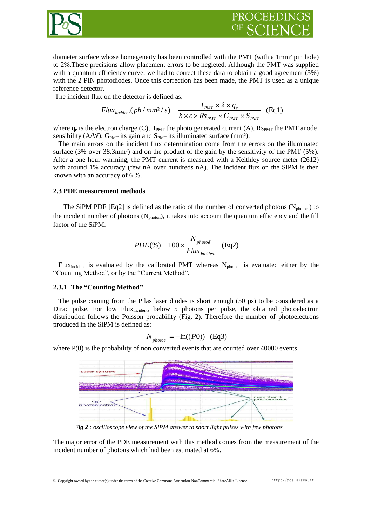



diameter surface whose homegeneity has been controlled with the PMT (with a 1mm² pin hole) to 2%.These precisions allow placement errors to be negleted. Although the PMT was supplied with a quantum efficiency curve, we had to correct these data to obtain a good agreement (5%) with the 2 PIN photodiodes. Once this correction has been made, the PMT is used as a unique reference detector.

The incident flux on the detector is defined as:

$$
Flux_{incident}(ph/mm^2/s) = \frac{I_{PMT} \times \lambda \times q_e}{h \times c \times Rs_{PMT} \times G_{PMT} \times S_{PMT}}
$$
(Eq1)

where  $q_e$  is the electron charge (C),  $I_{PMT}$  the photo generated current (A),  $R_{PMT}$  the PMT anode sensibility (A/W),  $G_{PMT}$  its gain and  $S_{PMT}$  its illuminated surface (mm<sup>2</sup>).

 The main errors on the incident flux determination come from the errors on the illuminated surface (3% over 38.3mm<sup>2</sup>) and on the product of the gain by the sensitivity of the PMT (5%). After a one hour warming, the PMT current is measured with a Keithley source meter (2612) with around 1% accuracy (few nA over hundreds nA). The incident flux on the SiPM is then known with an accuracy of 6 %.

# **2.3 PDE measurement methods**

The SiPM PDE [Eq2] is defined as the ratio of the number of converted photons ( $N<sub>photoe</sub>$ ) to the incident number of photons  $(N_{\text{photon}})$ , it takes into account the quantum efficiency and the fill factor of the SiPM:

$$
PDE(\%) = 100 \times \frac{N_{photo\bar{e}}}{Flux_{Incident}} \quad (Eq2)
$$

Flux<sub>incident</sub> is evaluated by the calibrated PMT whereas  $N_{photoe}$  is evaluated either by the "Counting Method", or by the "Current Method".

# **2.3.1 The "Counting Method"**

 The pulse coming from the Pilas laser diodes is short enough (50 ps) to be considered as a Dirac pulse. For low Flux<sub>incident</sub>, below 5 photons per pulse, the obtained photoelectron distribution follows the Poisson probability (Fig. 2). Therefore the number of photoelectrons produced in the SiPM is defined as:

$$
N_{\rho h \circ \theta e} = -\ln((P0))
$$
 (Eq3)

where  $P(0)$  is the probability of non converted events that are counted over 40000 events.



F*ig 2 : oscilloscope view of the SiPM answer to short light pulses with few photons*

The major error of the PDE measurement with this method comes from the measurement of the incident number of photons which had been estimated at 6%.

Copyright owned by the author(s) under the terms of the Creative Commons Attribution-NonCommercial-ShareAlike Licence. http://pos.sissa.it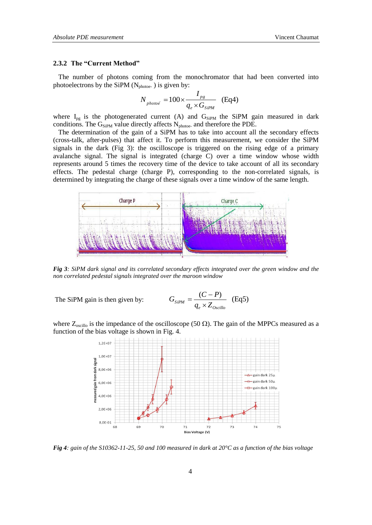#### **2.3.2 The "Current Method"**

 The number of photons coming from the monochromator that had been converted into photoelectrons by the SiPM  $(N_{photoe})$  is given by:

$$
N_{\rho h o t o \bar{e}} = 100 \times \frac{I_{\rho g}}{q_e \times G_{SiPM}} \quad (Eq4)
$$

where  $I_{pg}$  is the photogenerated current (A) and  $G_{SiPM}$  the SiPM gain measured in dark conditions. The  $G_{SiPM}$  value directly affects  $N_{photoe}$  and therefore the PDE.

 The determination of the gain of a SiPM has to take into account all the secondary effects (cross-talk, after-pulses) that affect it. To perform this measurement, we consider the SiPM signals in the dark (Fig 3): the oscilloscope is triggered on the rising edge of a primary avalanche signal. The signal is integrated (charge C) over a time window whose width represents around 5 times the recovery time of the device to take account of all its secondary effects. The pedestal charge (charge P), corresponding to the non-correlated signals, is determined by integrating the charge of these signals over a time window of the same length.



*Fig 3: SiPM dark signal and its correlated secondary effects integrated over the green window and the non correlated pedestal signals integrated over the maroon window*

The SiPM gain is then given by:

$$
G_{SiPM} = \frac{(C - P)}{q_e \times Z_{Oscillo}} \quad (Eq5)
$$

where  $Z_{\text{oscillo}}$  is the impedance of the oscilloscope (50  $\Omega$ ). The gain of the MPPCs measured as a function of the bias voltage is shown in Fig. 4.



*Fig 4: gain of the S10362-11-25, 50 and 100 measured in dark at 20°C as a function of the bias voltage*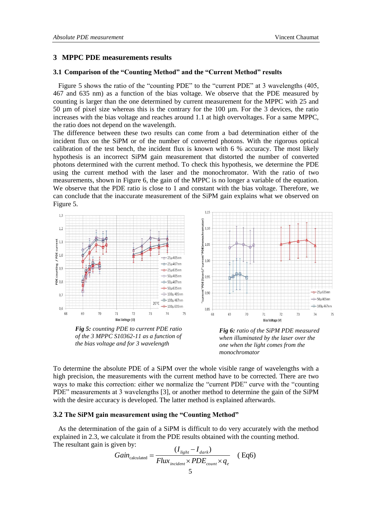# **3 MPPC PDE measurements results**

# **3.1 Comparison of the "Counting Method" and the "Current Method" results**

 Figure 5 shows the ratio of the "counting PDE" to the "current PDE" at 3 wavelengths (405, 467 and 635 nm) as a function of the bias voltage. We observe that the PDE measured by counting is larger than the one determined by current measurement for the MPPC with 25 and 50 µm of pixel size whereas this is the contrary for the 100 µm. For the 3 devices, the ratio increases with the bias voltage and reaches around 1.1 at high overvoltages. For a same MPPC, the ratio does not depend on the wavelength.

The difference between these two results can come from a bad determination either of the incident flux on the SiPM or of the number of converted photons. With the rigorous optical calibration of the test bench, the incident flux is known with 6 % accuracy. The most likely hypothesis is an incorrect SiPM gain measurement that distorted the number of converted photons determined with the current method. To check this hypothesis, we determine the PDE using the current method with the laser and the monochromator. With the ratio of two measurements, shown in Figure 6, the gain of the MPPC is no longer a variable of the equation. We observe that the PDE ratio is close to 1 and constant with the bias voltage. Therefore, we can conclude that the inaccurate measurement of the SiPM gain explains what we observed on Figure 5.



*Fig 5: counting PDE to current PDE ratio of the 3 MPPC S10362-11 as a function of the bias voltage and for 3 wavelength*

*Fig 6: ratio of the SiPM PDE measured when illuminated by the laser over the one when the light comes from the monochromator*

To determine the absolute PDE of a SiPM over the whole visible range of wavelengths with a high precision, the measurements with the current method have to be corrected. There are two ways to make this correction: either we normalize the "current PDE" curve with the "counting PDE" measurements at 3 wavelengths [3], or another method to determine the gain of the SiPM with the desire accuracy is developed. The latter method is explained afterwards.

#### **3.2 The SiPM gain measurement using the "Counting Method"**

 As the determination of the gain of a SiPM is difficult to do very accurately with the method explained in 2.3, we calculate it from the PDE results obtained with the counting method. The resultant gain is given by:

$$
Gain_{calculated} = \frac{(I_{light} - I_{dark})}{Flux_{incident} \times PDE_{count} \times q_e}
$$
 (Eq6)